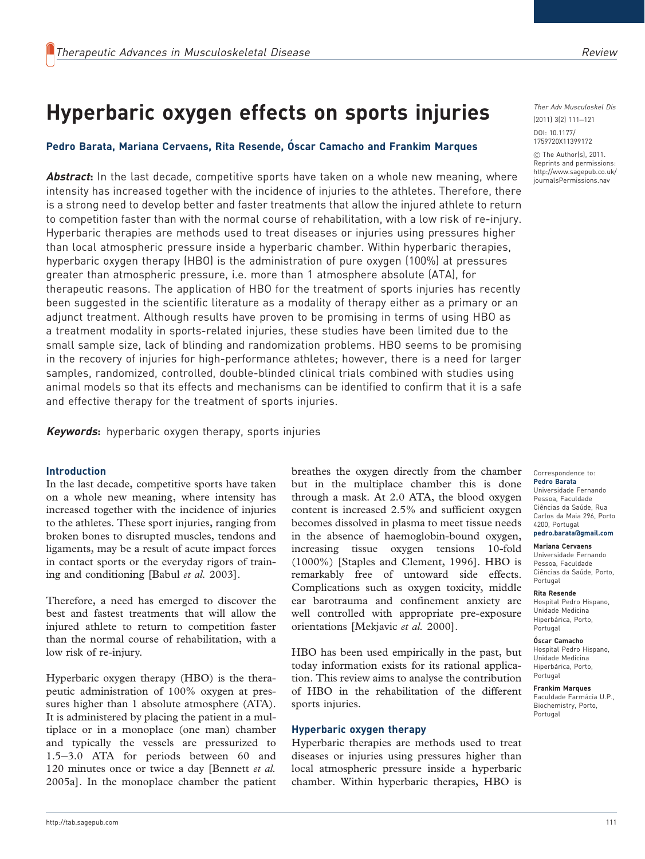# Hyperbaric oxygen effects on sports injuries

## Pedro Barata, Mariana Cervaens, Rita Resende, Óscar Camacho and Frankim Marques

**Abstract:** In the last decade, competitive sports have taken on a whole new meaning, where intensity has increased together with the incidence of injuries to the athletes. Therefore, there is a strong need to develop better and faster treatments that allow the injured athlete to return to competition faster than with the normal course of rehabilitation, with a low risk of re-injury. Hyperbaric therapies are methods used to treat diseases or injuries using pressures higher than local atmospheric pressure inside a hyperbaric chamber. Within hyperbaric therapies, hyperbaric oxygen therapy (HBO) is the administration of pure oxygen (100%) at pressures greater than atmospheric pressure, i.e. more than 1 atmosphere absolute (ATA), for therapeutic reasons. The application of HBO for the treatment of sports injuries has recently been suggested in the scientific literature as a modality of therapy either as a primary or an adjunct treatment. Although results have proven to be promising in terms of using HBO as a treatment modality in sports-related injuries, these studies have been limited due to the small sample size, lack of blinding and randomization problems. HBO seems to be promising in the recovery of injuries for high-performance athletes; however, there is a need for larger samples, randomized, controlled, double-blinded clinical trials combined with studies using animal models so that its effects and mechanisms can be identified to confirm that it is a safe and effective therapy for the treatment of sports injuries.

Keywords: hyperbaric oxygen therapy, sports injuries

#### Introduction

In the last decade, competitive sports have taken on a whole new meaning, where intensity has increased together with the incidence of injuries to the athletes. These sport injuries, ranging from broken bones to disrupted muscles, tendons and ligaments, may be a result of acute impact forces in contact sports or the everyday rigors of training and conditioning [Babul et al. 2003].

Therefore, a need has emerged to discover the best and fastest treatments that will allow the injured athlete to return to competition faster than the normal course of rehabilitation, with a low risk of re-injury.

Hyperbaric oxygen therapy (HBO) is the therapeutic administration of 100% oxygen at pressures higher than 1 absolute atmosphere (ATA). It is administered by placing the patient in a multiplace or in a monoplace (one man) chamber and typically the vessels are pressurized to 1.5-3.0 ATA for periods between 60 and 120 minutes once or twice a day [Bennett et al. 2005a]. In the monoplace chamber the patient

breathes the oxygen directly from the chamber but in the multiplace chamber this is done through a mask. At 2.0 ATA, the blood oxygen content is increased 2.5% and sufficient oxygen becomes dissolved in plasma to meet tissue needs in the absence of haemoglobin-bound oxygen, increasing tissue oxygen tensions 10-fold (1000%) [Staples and Clement, 1996]. HBO is remarkably free of untoward side effects. Complications such as oxygen toxicity, middle ear barotrauma and confinement anxiety are well controlled with appropriate pre-exposure orientations [Mekjavic et al. 2000].

HBO has been used empirically in the past, but today information exists for its rational application. This review aims to analyse the contribution of HBO in the rehabilitation of the different sports injuries.

#### Hyperbaric oxygen therapy

Hyperbaric therapies are methods used to treat diseases or injuries using pressures higher than local atmospheric pressure inside a hyperbaric chamber. Within hyperbaric therapies, HBO is

Ther Adv Musculoskel Dis

(2011) 3(2) 111-121 DOI: 10.1177/ 1759720X11399172

 $©$  The Author(s), 2011. Reprints and permissions: http://www.sagepub.co.uk/ journalsPermissions.nav

#### Correspondence to: Pedro Barata

Universidade Fernando Pessoa, Faculdade Ciências da Saúde, Rua Carlos da Maia 296, Porto 4200, Portugal pedro.barata@gmail.com

#### Mariana Cervaens

Universidade Fernando Pessoa, Faculdade Ciências da Saúde, Porto, Portugal

#### Rita Resende

Hospital Pedro Hispano, Unidade Medicina Hiperbárica, Porto, Portugal

# Óscar Camacho

Hospital Pedro Hispano, Unidade Medicina Hiperbárica, Porto, Portugal

Frankim Marques Faculdade Farmácia U.P., Biochemistry, Porto, Portugal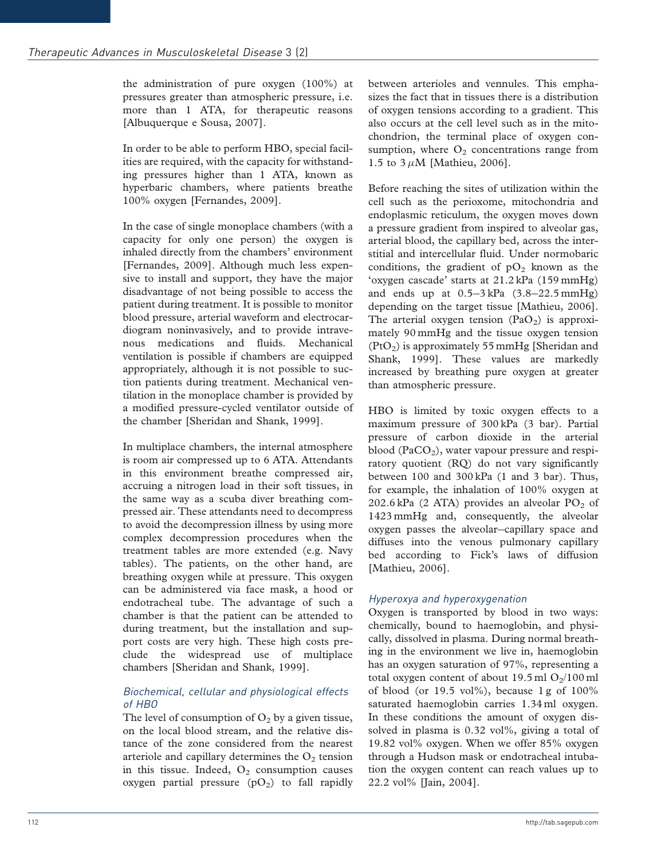the administration of pure oxygen (100%) at pressures greater than atmospheric pressure, i.e. more than 1 ATA, for therapeutic reasons [Albuquerque e Sousa, 2007].

In order to be able to perform HBO, special facilities are required, with the capacity for withstanding pressures higher than 1 ATA, known as hyperbaric chambers, where patients breathe 100% oxygen [Fernandes, 2009].

In the case of single monoplace chambers (with a capacity for only one person) the oxygen is inhaled directly from the chambers' environment [Fernandes, 2009]. Although much less expensive to install and support, they have the major disadvantage of not being possible to access the patient during treatment. It is possible to monitor blood pressure, arterial waveform and electrocardiogram noninvasively, and to provide intravenous medications and fluids. Mechanical ventilation is possible if chambers are equipped appropriately, although it is not possible to suction patients during treatment. Mechanical ventilation in the monoplace chamber is provided by a modified pressure-cycled ventilator outside of the chamber [Sheridan and Shank, 1999].

In multiplace chambers, the internal atmosphere is room air compressed up to 6 ATA. Attendants in this environment breathe compressed air, accruing a nitrogen load in their soft tissues, in the same way as a scuba diver breathing compressed air. These attendants need to decompress to avoid the decompression illness by using more complex decompression procedures when the treatment tables are more extended (e.g. Navy tables). The patients, on the other hand, are breathing oxygen while at pressure. This oxygen can be administered via face mask, a hood or endotracheal tube. The advantage of such a chamber is that the patient can be attended to during treatment, but the installation and support costs are very high. These high costs preclude the widespread use of multiplace chambers [Sheridan and Shank, 1999].

### Biochemical, cellular and physiological effects of HBO

The level of consumption of  $O_2$  by a given tissue, on the local blood stream, and the relative distance of the zone considered from the nearest arteriole and capillary determines the  $O<sub>2</sub>$  tension in this tissue. Indeed,  $O_2$  consumption causes oxygen partial pressure  $(pO<sub>2</sub>)$  to fall rapidly between arterioles and vennules. This emphasizes the fact that in tissues there is a distribution of oxygen tensions according to a gradient. This also occurs at the cell level such as in the mitochondrion, the terminal place of oxygen consumption, where  $O_2$  concentrations range from 1.5 to  $3 \mu M$  [Mathieu, 2006].

Before reaching the sites of utilization within the cell such as the perioxome, mitochondria and endoplasmic reticulum, the oxygen moves down a pressure gradient from inspired to alveolar gas, arterial blood, the capillary bed, across the interstitial and intercellular fluid. Under normobaric conditions, the gradient of  $pO<sub>2</sub>$  known as the 'oxygen cascade' starts at 21.2 kPa (159 mmHg) and ends up at 0.5-3 kPa (3.8-22.5 mmHg) depending on the target tissue [Mathieu, 2006]. The arterial oxygen tension  $(PaO<sub>2</sub>)$  is approximately 90 mmHg and the tissue oxygen tension  $(PtO<sub>2</sub>)$  is approximately 55 mmHg [Sheridan and Shank, 1999]. These values are markedly increased by breathing pure oxygen at greater than atmospheric pressure.

HBO is limited by toxic oxygen effects to a maximum pressure of 300 kPa (3 bar). Partial pressure of carbon dioxide in the arterial blood (PaCO<sub>2</sub>), water vapour pressure and respiratory quotient (RQ) do not vary significantly between 100 and 300 kPa (1 and 3 bar). Thus, for example, the inhalation of 100% oxygen at 202.6 kPa (2 ATA) provides an alveolar  $PO<sub>2</sub>$  of 1423 mmHg and, consequently, the alveolar oxygen passes the alveolar-capillary space and diffuses into the venous pulmonary capillary bed according to Fick's laws of diffusion [Mathieu, 2006].

### Hyperoxya and hyperoxygenation

Oxygen is transported by blood in two ways: chemically, bound to haemoglobin, and physically, dissolved in plasma. During normal breathing in the environment we live in, haemoglobin has an oxygen saturation of 97%, representing a total oxygen content of about 19.5 ml  $O_2/100$  ml of blood (or 19.5 vol%), because  $1 g$  of  $100\%$ saturated haemoglobin carries 1.34 ml oxygen. In these conditions the amount of oxygen dissolved in plasma is 0.32 vol%, giving a total of 19.82 vol% oxygen. When we offer 85% oxygen through a Hudson mask or endotracheal intubation the oxygen content can reach values up to 22.2 vol% [Jain, 2004].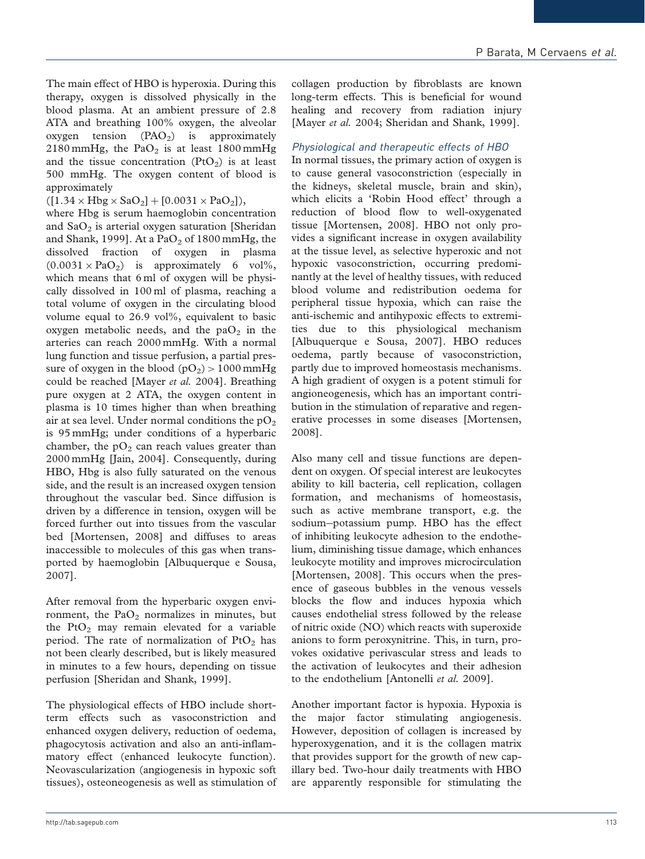The main effect of HBO is hyperoxia. During this therapy, oxygen is dissolved physically in the blood plasma. At an ambient pressure of 2.8 ATA and breathing 100% oxygen, the alveolar oxygen tension  $(PAO<sub>2</sub>)$  is approximately 2180 mmHg, the  $PaO<sub>2</sub>$  is at least 1800 mmHg and the tissue concentration  $(PtO<sub>2</sub>)$  is at least 500 mmHg. The oxygen content of blood is approximately

 $([1.34 \times Hbg \times SaO_2] + [0.0031 \times PaO_2]),$ 

where Hbg is serum haemoglobin concentration and  $SaO<sub>2</sub>$  is arterial oxygen saturation [Sheridan] and Shank, 1999]. At a  $PaO<sub>2</sub>$  of 1800 mmHg, the dissolved fraction of oxygen in plasma  $(0.0031 \times PaO<sub>2</sub>)$  is approximately 6 vol%, which means that 6 ml of oxygen will be physically dissolved in 100 ml of plasma, reaching a total volume of oxygen in the circulating blood volume equal to 26.9 vol%, equivalent to basic oxygen metabolic needs, and the  $paO<sub>2</sub>$  in the arteries can reach 2000 mmHg. With a normal lung function and tissue perfusion, a partial pressure of oxygen in the blood  $(pO<sub>2</sub>) > 1000$  mmHg could be reached [Mayer et al. 2004]. Breathing pure oxygen at 2 ATA, the oxygen content in plasma is 10 times higher than when breathing air at sea level. Under normal conditions the  $pO_2$ is 95 mmHg; under conditions of a hyperbaric chamber, the  $pO<sub>2</sub>$  can reach values greater than 2000 mmHg [Jain, 2004]. Consequently, during HBO, Hbg is also fully saturated on the venous side, and the result is an increased oxygen tension throughout the vascular bed. Since diffusion is driven by a difference in tension, oxygen will be forced further out into tissues from the vascular bed [Mortensen, 2008] and diffuses to areas inaccessible to molecules of this gas when transported by haemoglobin [Albuquerque e Sousa, 2007].

After removal from the hyperbaric oxygen environment, the  $PaO<sub>2</sub>$  normalizes in minutes, but the  $PtO<sub>2</sub>$  may remain elevated for a variable period. The rate of normalization of  $PtO<sub>2</sub>$  has not been clearly described, but is likely measured in minutes to a few hours, depending on tissue perfusion [Sheridan and Shank, 1999].

The physiological effects of HBO include shortterm effects such as vasoconstriction and enhanced oxygen delivery, reduction of oedema, phagocytosis activation and also an anti-inflammatory effect (enhanced leukocyte function). Neovascularization (angiogenesis in hypoxic soft tissues), osteoneogenesis as well as stimulation of

collagen production by fibroblasts are known long-term effects. This is beneficial for wound healing and recovery from radiation injury [Mayer et al. 2004; Sheridan and Shank, 1999].

### Physiological and therapeutic effects of HBO

In normal tissues, the primary action of oxygen is to cause general vasoconstriction (especially in the kidneys, skeletal muscle, brain and skin), which elicits a 'Robin Hood effect' through a reduction of blood flow to well-oxygenated tissue [Mortensen, 2008]. HBO not only provides a significant increase in oxygen availability at the tissue level, as selective hyperoxic and not hypoxic vasoconstriction, occurring predominantly at the level of healthy tissues, with reduced blood volume and redistribution oedema for peripheral tissue hypoxia, which can raise the anti-ischemic and antihypoxic effects to extremities due to this physiological mechanism [Albuquerque e Sousa, 2007]. HBO reduces oedema, partly because of vasoconstriction, partly due to improved homeostasis mechanisms. A high gradient of oxygen is a potent stimuli for angioneogenesis, which has an important contribution in the stimulation of reparative and regenerative processes in some diseases [Mortensen, 2008].

Also many cell and tissue functions are dependent on oxygen. Of special interest are leukocytes ability to kill bacteria, cell replication, collagen formation, and mechanisms of homeostasis, such as active membrane transport, e.g. the sodium-potassium pump. HBO has the effect of inhibiting leukocyte adhesion to the endothelium, diminishing tissue damage, which enhances leukocyte motility and improves microcirculation [Mortensen, 2008]. This occurs when the presence of gaseous bubbles in the venous vessels blocks the flow and induces hypoxia which causes endothelial stress followed by the release of nitric oxide (NO) which reacts with superoxide anions to form peroxynitrine. This, in turn, provokes oxidative perivascular stress and leads to the activation of leukocytes and their adhesion to the endothelium [Antonelli et al. 2009].

Another important factor is hypoxia. Hypoxia is the major factor stimulating angiogenesis. However, deposition of collagen is increased by hyperoxygenation, and it is the collagen matrix that provides support for the growth of new capillary bed. Two-hour daily treatments with HBO are apparently responsible for stimulating the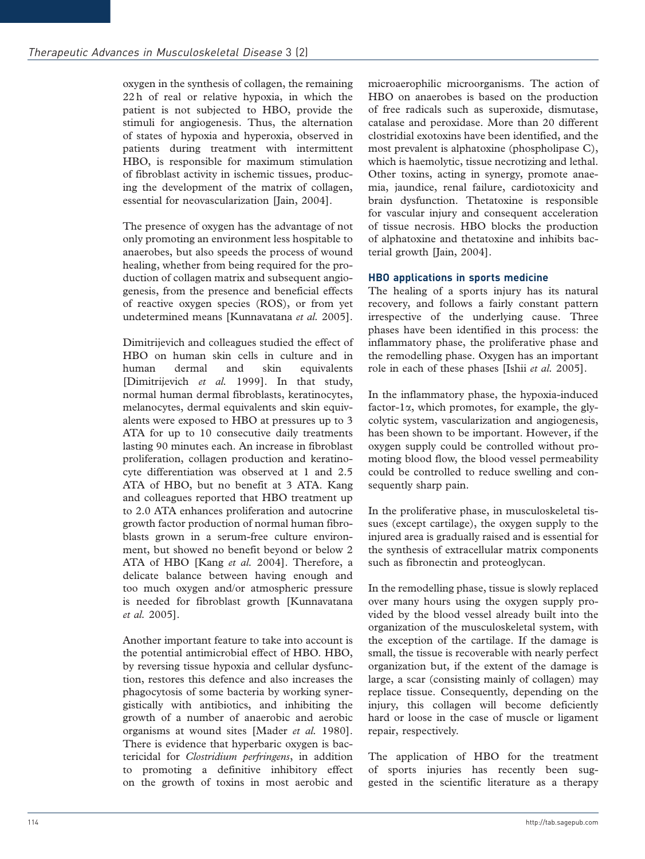oxygen in the synthesis of collagen, the remaining 22 h of real or relative hypoxia, in which the patient is not subjected to HBO, provide the stimuli for angiogenesis. Thus, the alternation of states of hypoxia and hyperoxia, observed in patients during treatment with intermittent HBO, is responsible for maximum stimulation of fibroblast activity in ischemic tissues, producing the development of the matrix of collagen, essential for neovascularization [Jain, 2004].

The presence of oxygen has the advantage of not only promoting an environment less hospitable to anaerobes, but also speeds the process of wound healing, whether from being required for the production of collagen matrix and subsequent angiogenesis, from the presence and beneficial effects of reactive oxygen species (ROS), or from yet undetermined means [Kunnavatana et al. 2005].

Dimitrijevich and colleagues studied the effect of HBO on human skin cells in culture and in human dermal and skin equivalents [Dimitrijevich et al. 1999]. In that study, normal human dermal fibroblasts, keratinocytes, melanocytes, dermal equivalents and skin equivalents were exposed to HBO at pressures up to 3 ATA for up to 10 consecutive daily treatments lasting 90 minutes each. An increase in fibroblast proliferation, collagen production and keratinocyte differentiation was observed at 1 and 2.5 ATA of HBO, but no benefit at 3 ATA. Kang and colleagues reported that HBO treatment up to 2.0 ATA enhances proliferation and autocrine growth factor production of normal human fibroblasts grown in a serum-free culture environment, but showed no benefit beyond or below 2 ATA of HBO [Kang et al. 2004]. Therefore, a delicate balance between having enough and too much oxygen and/or atmospheric pressure is needed for fibroblast growth [Kunnavatana et al. 2005].

Another important feature to take into account is the potential antimicrobial effect of HBO. HBO, by reversing tissue hypoxia and cellular dysfunction, restores this defence and also increases the phagocytosis of some bacteria by working synergistically with antibiotics, and inhibiting the growth of a number of anaerobic and aerobic organisms at wound sites [Mader et al. 1980]. There is evidence that hyperbaric oxygen is bactericidal for Clostridium perfringens, in addition to promoting a definitive inhibitory effect on the growth of toxins in most aerobic and

microaerophilic microorganisms. The action of HBO on anaerobes is based on the production of free radicals such as superoxide, dismutase, catalase and peroxidase. More than 20 different clostridial exotoxins have been identified, and the most prevalent is alphatoxine (phospholipase C), which is haemolytic, tissue necrotizing and lethal. Other toxins, acting in synergy, promote anaemia, jaundice, renal failure, cardiotoxicity and brain dysfunction. Thetatoxine is responsible for vascular injury and consequent acceleration of tissue necrosis. HBO blocks the production of alphatoxine and thetatoxine and inhibits bacterial growth [Jain, 2004].

## HBO applications in sports medicine

The healing of a sports injury has its natural recovery, and follows a fairly constant pattern irrespective of the underlying cause. Three phases have been identified in this process: the inflammatory phase, the proliferative phase and the remodelling phase. Oxygen has an important role in each of these phases [Ishii *et al.* 2005].

In the inflammatory phase, the hypoxia-induced factor-1 $\alpha$ , which promotes, for example, the glycolytic system, vascularization and angiogenesis, has been shown to be important. However, if the oxygen supply could be controlled without promoting blood flow, the blood vessel permeability could be controlled to reduce swelling and consequently sharp pain.

In the proliferative phase, in musculoskeletal tissues (except cartilage), the oxygen supply to the injured area is gradually raised and is essential for the synthesis of extracellular matrix components such as fibronectin and proteoglycan.

In the remodelling phase, tissue is slowly replaced over many hours using the oxygen supply provided by the blood vessel already built into the organization of the musculoskeletal system, with the exception of the cartilage. If the damage is small, the tissue is recoverable with nearly perfect organization but, if the extent of the damage is large, a scar (consisting mainly of collagen) may replace tissue. Consequently, depending on the injury, this collagen will become deficiently hard or loose in the case of muscle or ligament repair, respectively.

The application of HBO for the treatment of sports injuries has recently been suggested in the scientific literature as a therapy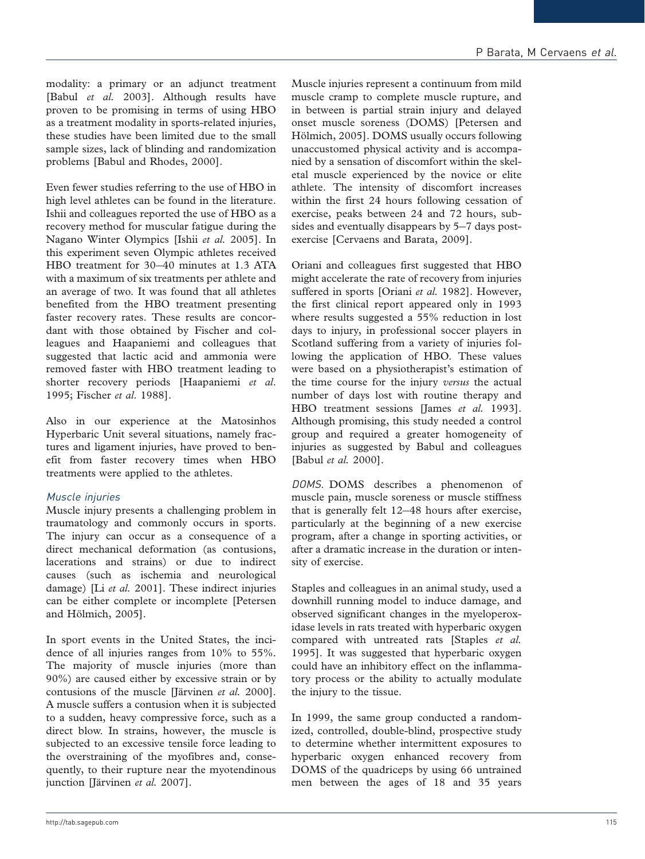modality: a primary or an adjunct treatment [Babul et al. 2003]. Although results have proven to be promising in terms of using HBO as a treatment modality in sports-related injuries, these studies have been limited due to the small sample sizes, lack of blinding and randomization problems [Babul and Rhodes, 2000].

Even fewer studies referring to the use of HBO in high level athletes can be found in the literature. Ishii and colleagues reported the use of HBO as a recovery method for muscular fatigue during the Nagano Winter Olympics [Ishii et al. 2005]. In this experiment seven Olympic athletes received HBO treatment for 30-40 minutes at 1.3 ATA with a maximum of six treatments per athlete and an average of two. It was found that all athletes benefited from the HBO treatment presenting faster recovery rates. These results are concordant with those obtained by Fischer and colleagues and Haapaniemi and colleagues that suggested that lactic acid and ammonia were removed faster with HBO treatment leading to shorter recovery periods [Haapaniemi et al. 1995; Fischer et al. 1988].

Also in our experience at the Matosinhos Hyperbaric Unit several situations, namely fractures and ligament injuries, have proved to benefit from faster recovery times when HBO treatments were applied to the athletes.

### Muscle injuries

Muscle injury presents a challenging problem in traumatology and commonly occurs in sports. The injury can occur as a consequence of a direct mechanical deformation (as contusions, lacerations and strains) or due to indirect causes (such as ischemia and neurological damage) [Li et al. 2001]. These indirect injuries can be either complete or incomplete [Petersen and Hölmich, 2005].

In sport events in the United States, the incidence of all injuries ranges from 10% to 55%. The majority of muscle injuries (more than 90%) are caused either by excessive strain or by contusions of the muscle [Järvinen  $et$   $al.$  2000]. A muscle suffers a contusion when it is subjected to a sudden, heavy compressive force, such as a direct blow. In strains, however, the muscle is subjected to an excessive tensile force leading to the overstraining of the myofibres and, consequently, to their rupture near the myotendinous junction [Järvinen et al. 2007].

Muscle injuries represent a continuum from mild muscle cramp to complete muscle rupture, and in between is partial strain injury and delayed onset muscle soreness (DOMS) [Petersen and Hölmich, 2005]. DOMS usually occurs following unaccustomed physical activity and is accompanied by a sensation of discomfort within the skeletal muscle experienced by the novice or elite athlete. The intensity of discomfort increases within the first 24 hours following cessation of exercise, peaks between 24 and 72 hours, subsides and eventually disappears by 5-7 days postexercise [Cervaens and Barata, 2009].

Oriani and colleagues first suggested that HBO might accelerate the rate of recovery from injuries suffered in sports [Oriani et al. 1982]. However, the first clinical report appeared only in 1993 where results suggested a 55% reduction in lost days to injury, in professional soccer players in Scotland suffering from a variety of injuries following the application of HBO. These values were based on a physiotherapist's estimation of the time course for the injury versus the actual number of days lost with routine therapy and HBO treatment sessions [James et al. 1993]. Although promising, this study needed a control group and required a greater homogeneity of injuries as suggested by Babul and colleagues [Babul et al. 2000].

DOMS. DOMS describes a phenomenon of muscle pain, muscle soreness or muscle stiffness that is generally felt 12-48 hours after exercise, particularly at the beginning of a new exercise program, after a change in sporting activities, or after a dramatic increase in the duration or intensity of exercise.

Staples and colleagues in an animal study, used a downhill running model to induce damage, and observed significant changes in the myeloperoxidase levels in rats treated with hyperbaric oxygen compared with untreated rats [Staples et al. 1995]. It was suggested that hyperbaric oxygen could have an inhibitory effect on the inflammatory process or the ability to actually modulate the injury to the tissue.

In 1999, the same group conducted a randomized, controlled, double-blind, prospective study to determine whether intermittent exposures to hyperbaric oxygen enhanced recovery from DOMS of the quadriceps by using 66 untrained men between the ages of 18 and 35 years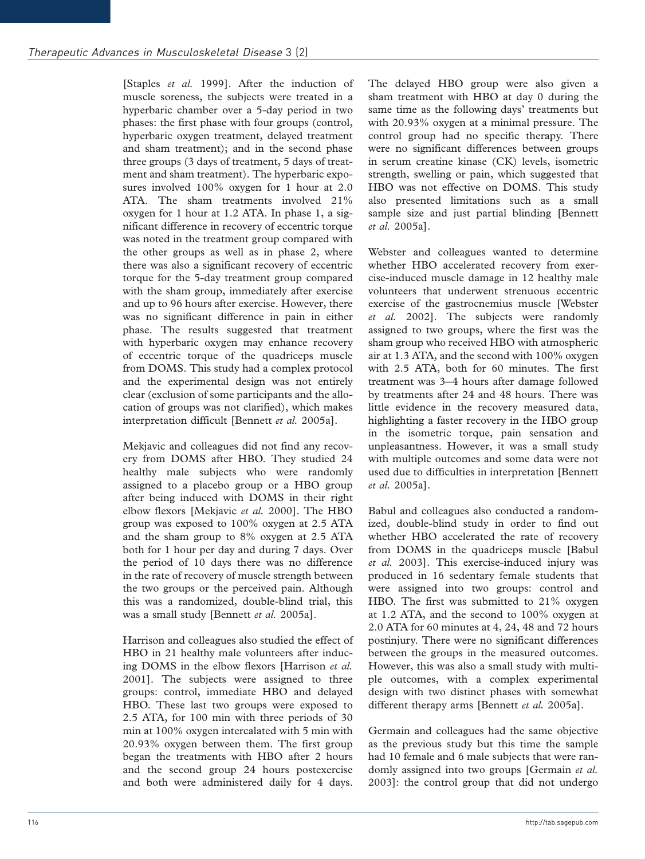[Staples et al. 1999]. After the induction of muscle soreness, the subjects were treated in a hyperbaric chamber over a 5-day period in two phases: the first phase with four groups (control, hyperbaric oxygen treatment, delayed treatment and sham treatment); and in the second phase three groups (3 days of treatment, 5 days of treatment and sham treatment). The hyperbaric exposures involved 100% oxygen for 1 hour at 2.0 ATA. The sham treatments involved 21% oxygen for 1 hour at 1.2 ATA. In phase 1, a significant difference in recovery of eccentric torque was noted in the treatment group compared with the other groups as well as in phase 2, where there was also a significant recovery of eccentric torque for the 5-day treatment group compared with the sham group, immediately after exercise and up to 96 hours after exercise. However, there was no significant difference in pain in either phase. The results suggested that treatment with hyperbaric oxygen may enhance recovery of eccentric torque of the quadriceps muscle from DOMS. This study had a complex protocol and the experimental design was not entirely clear (exclusion of some participants and the allocation of groups was not clarified), which makes interpretation difficult [Bennett et al. 2005a].

Mekjavic and colleagues did not find any recovery from DOMS after HBO. They studied 24 healthy male subjects who were randomly assigned to a placebo group or a HBO group after being induced with DOMS in their right elbow flexors [Mekjavic et al. 2000]. The HBO group was exposed to 100% oxygen at 2.5 ATA and the sham group to 8% oxygen at 2.5 ATA both for 1 hour per day and during 7 days. Over the period of 10 days there was no difference in the rate of recovery of muscle strength between the two groups or the perceived pain. Although this was a randomized, double-blind trial, this was a small study [Bennett et al. 2005a].

Harrison and colleagues also studied the effect of HBO in 21 healthy male volunteers after inducing DOMS in the elbow flexors [Harrison et al. 2001]. The subjects were assigned to three groups: control, immediate HBO and delayed HBO. These last two groups were exposed to 2.5 ATA, for 100 min with three periods of 30 min at 100% oxygen intercalated with 5 min with 20.93% oxygen between them. The first group began the treatments with HBO after 2 hours and the second group 24 hours postexercise and both were administered daily for 4 days.

The delayed HBO group were also given a sham treatment with HBO at day 0 during the same time as the following days' treatments but with 20.93% oxygen at a minimal pressure. The control group had no specific therapy. There were no significant differences between groups in serum creatine kinase (CK) levels, isometric strength, swelling or pain, which suggested that HBO was not effective on DOMS. This study also presented limitations such as a small sample size and just partial blinding [Bennett et al. 2005a].

Webster and colleagues wanted to determine whether HBO accelerated recovery from exercise-induced muscle damage in 12 healthy male volunteers that underwent strenuous eccentric exercise of the gastrocnemius muscle [Webster et al. 2002]. The subjects were randomly assigned to two groups, where the first was the sham group who received HBO with atmospheric air at 1.3 ATA, and the second with 100% oxygen with 2.5 ATA, both for 60 minutes. The first treatment was 3-4 hours after damage followed by treatments after 24 and 48 hours. There was little evidence in the recovery measured data, highlighting a faster recovery in the HBO group in the isometric torque, pain sensation and unpleasantness. However, it was a small study with multiple outcomes and some data were not used due to difficulties in interpretation [Bennett et al. 2005a].

Babul and colleagues also conducted a randomized, double-blind study in order to find out whether HBO accelerated the rate of recovery from DOMS in the quadriceps muscle [Babul et al. 2003]. This exercise-induced injury was produced in 16 sedentary female students that were assigned into two groups: control and HBO. The first was submitted to 21% oxygen at 1.2 ATA, and the second to 100% oxygen at 2.0 ATA for 60 minutes at 4, 24, 48 and 72 hours postinjury. There were no significant differences between the groups in the measured outcomes. However, this was also a small study with multiple outcomes, with a complex experimental design with two distinct phases with somewhat different therapy arms [Bennett et al. 2005a].

Germain and colleagues had the same objective as the previous study but this time the sample had 10 female and 6 male subjects that were randomly assigned into two groups [Germain et al. 2003]: the control group that did not undergo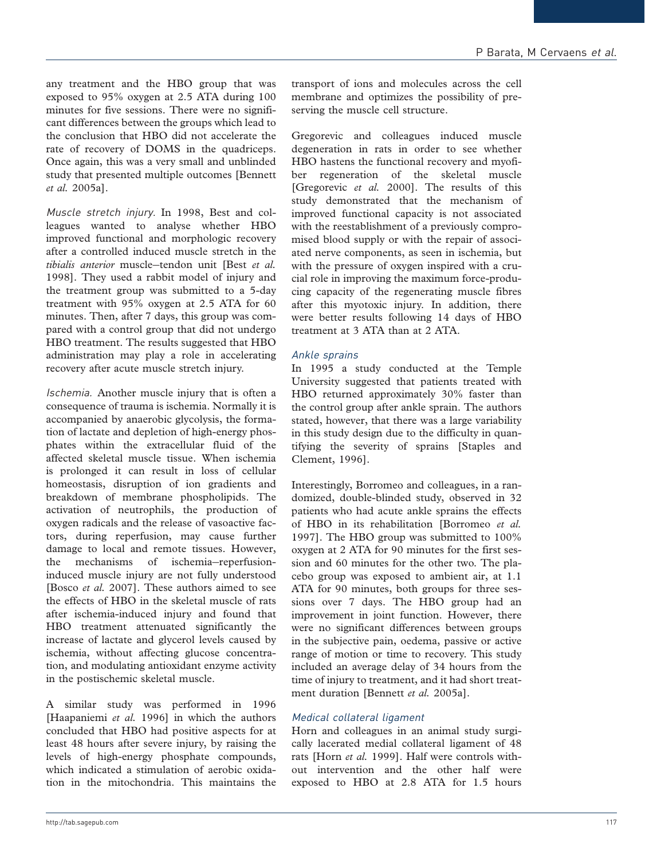any treatment and the HBO group that was exposed to 95% oxygen at 2.5 ATA during 100 minutes for five sessions. There were no significant differences between the groups which lead to the conclusion that HBO did not accelerate the rate of recovery of DOMS in the quadriceps. Once again, this was a very small and unblinded study that presented multiple outcomes [Bennett et al. 2005a].

Muscle stretch injury. In 1998, Best and colleagues wanted to analyse whether HBO improved functional and morphologic recovery after a controlled induced muscle stretch in the tibialis anterior muscle-tendon unit [Best et al. 1998]. They used a rabbit model of injury and the treatment group was submitted to a 5-day treatment with 95% oxygen at 2.5 ATA for 60 minutes. Then, after 7 days, this group was compared with a control group that did not undergo HBO treatment. The results suggested that HBO administration may play a role in accelerating recovery after acute muscle stretch injury.

Ischemia. Another muscle injury that is often a consequence of trauma is ischemia. Normally it is accompanied by anaerobic glycolysis, the formation of lactate and depletion of high-energy phosphates within the extracellular fluid of the affected skeletal muscle tissue. When ischemia is prolonged it can result in loss of cellular homeostasis, disruption of ion gradients and breakdown of membrane phospholipids. The activation of neutrophils, the production of oxygen radicals and the release of vasoactive factors, during reperfusion, may cause further damage to local and remote tissues. However, the mechanisms of ischemia-reperfusioninduced muscle injury are not fully understood [Bosco et al. 2007]. These authors aimed to see the effects of HBO in the skeletal muscle of rats after ischemia-induced injury and found that HBO treatment attenuated significantly the increase of lactate and glycerol levels caused by ischemia, without affecting glucose concentration, and modulating antioxidant enzyme activity in the postischemic skeletal muscle.

A similar study was performed in 1996 [Haapaniemi et al. 1996] in which the authors concluded that HBO had positive aspects for at least 48 hours after severe injury, by raising the levels of high-energy phosphate compounds, which indicated a stimulation of aerobic oxidation in the mitochondria. This maintains the

transport of ions and molecules across the cell membrane and optimizes the possibility of preserving the muscle cell structure.

Gregorevic and colleagues induced muscle degeneration in rats in order to see whether HBO hastens the functional recovery and myofiber regeneration of the skeletal muscle [Gregorevic et al. 2000]. The results of this study demonstrated that the mechanism of improved functional capacity is not associated with the reestablishment of a previously compromised blood supply or with the repair of associated nerve components, as seen in ischemia, but with the pressure of oxygen inspired with a crucial role in improving the maximum force-producing capacity of the regenerating muscle fibres after this myotoxic injury. In addition, there were better results following 14 days of HBO treatment at 3 ATA than at 2 ATA.

### Ankle sprains

In 1995 a study conducted at the Temple University suggested that patients treated with HBO returned approximately 30% faster than the control group after ankle sprain. The authors stated, however, that there was a large variability in this study design due to the difficulty in quantifying the severity of sprains [Staples and Clement, 1996].

Interestingly, Borromeo and colleagues, in a randomized, double-blinded study, observed in 32 patients who had acute ankle sprains the effects of HBO in its rehabilitation [Borromeo et al. 1997]. The HBO group was submitted to 100% oxygen at 2 ATA for 90 minutes for the first session and 60 minutes for the other two. The placebo group was exposed to ambient air, at 1.1 ATA for 90 minutes, both groups for three sessions over 7 days. The HBO group had an improvement in joint function. However, there were no significant differences between groups in the subjective pain, oedema, passive or active range of motion or time to recovery. This study included an average delay of 34 hours from the time of injury to treatment, and it had short treatment duration [Bennett et al. 2005a].

### Medical collateral ligament

Horn and colleagues in an animal study surgically lacerated medial collateral ligament of 48 rats [Horn et al. 1999]. Half were controls without intervention and the other half were exposed to HBO at 2.8 ATA for 1.5 hours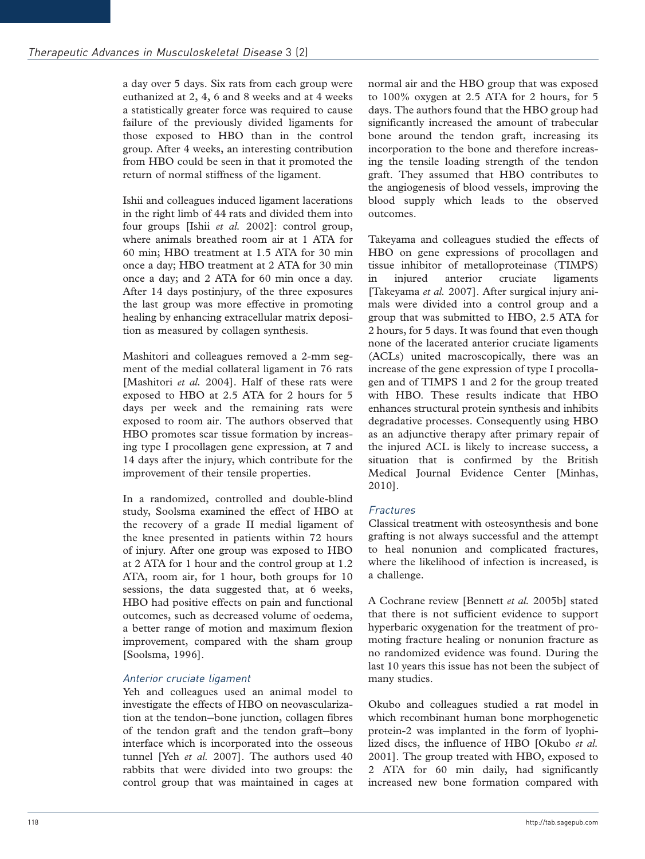a day over 5 days. Six rats from each group were euthanized at 2, 4, 6 and 8 weeks and at 4 weeks a statistically greater force was required to cause failure of the previously divided ligaments for those exposed to HBO than in the control group. After 4 weeks, an interesting contribution from HBO could be seen in that it promoted the return of normal stiffness of the ligament.

Ishii and colleagues induced ligament lacerations in the right limb of 44 rats and divided them into four groups [Ishii et al. 2002]: control group, where animals breathed room air at 1 ATA for 60 min; HBO treatment at 1.5 ATA for 30 min once a day; HBO treatment at 2 ATA for 30 min once a day; and 2 ATA for 60 min once a day. After 14 days postinjury, of the three exposures the last group was more effective in promoting healing by enhancing extracellular matrix deposition as measured by collagen synthesis.

Mashitori and colleagues removed a 2-mm segment of the medial collateral ligament in 76 rats [Mashitori et al. 2004]. Half of these rats were exposed to HBO at 2.5 ATA for 2 hours for 5 days per week and the remaining rats were exposed to room air. The authors observed that HBO promotes scar tissue formation by increasing type I procollagen gene expression, at 7 and 14 days after the injury, which contribute for the improvement of their tensile properties.

In a randomized, controlled and double-blind study, Soolsma examined the effect of HBO at the recovery of a grade II medial ligament of the knee presented in patients within 72 hours of injury. After one group was exposed to HBO at 2 ATA for 1 hour and the control group at 1.2 ATA, room air, for 1 hour, both groups for 10 sessions, the data suggested that, at 6 weeks, HBO had positive effects on pain and functional outcomes, such as decreased volume of oedema, a better range of motion and maximum flexion improvement, compared with the sham group [Soolsma, 1996].

# Anterior cruciate ligament

Yeh and colleagues used an animal model to investigate the effects of HBO on neovascularization at the tendon-bone junction, collagen fibres of the tendon graft and the tendon graft-bony interface which is incorporated into the osseous tunnel [Yeh et al. 2007]. The authors used 40 rabbits that were divided into two groups: the control group that was maintained in cages at normal air and the HBO group that was exposed to 100% oxygen at 2.5 ATA for 2 hours, for 5 days. The authors found that the HBO group had significantly increased the amount of trabecular bone around the tendon graft, increasing its incorporation to the bone and therefore increasing the tensile loading strength of the tendon graft. They assumed that HBO contributes to the angiogenesis of blood vessels, improving the blood supply which leads to the observed outcomes.

Takeyama and colleagues studied the effects of HBO on gene expressions of procollagen and tissue inhibitor of metalloproteinase (TIMPS) in injured anterior cruciate ligaments [Takeyama et al. 2007]. After surgical injury animals were divided into a control group and a group that was submitted to HBO, 2.5 ATA for 2 hours, for 5 days. It was found that even though none of the lacerated anterior cruciate ligaments (ACLs) united macroscopically, there was an increase of the gene expression of type I procollagen and of TIMPS 1 and 2 for the group treated with HBO. These results indicate that HBO enhances structural protein synthesis and inhibits degradative processes. Consequently using HBO as an adjunctive therapy after primary repair of the injured ACL is likely to increase success, a situation that is confirmed by the British Medical Journal Evidence Center [Minhas, 2010].

### Fractures

Classical treatment with osteosynthesis and bone grafting is not always successful and the attempt to heal nonunion and complicated fractures, where the likelihood of infection is increased, is a challenge.

A Cochrane review [Bennett et al. 2005b] stated that there is not sufficient evidence to support hyperbaric oxygenation for the treatment of promoting fracture healing or nonunion fracture as no randomized evidence was found. During the last 10 years this issue has not been the subject of many studies.

Okubo and colleagues studied a rat model in which recombinant human bone morphogenetic protein-2 was implanted in the form of lyophilized discs, the influence of HBO [Okubo et al. 2001]. The group treated with HBO, exposed to 2 ATA for 60 min daily, had significantly increased new bone formation compared with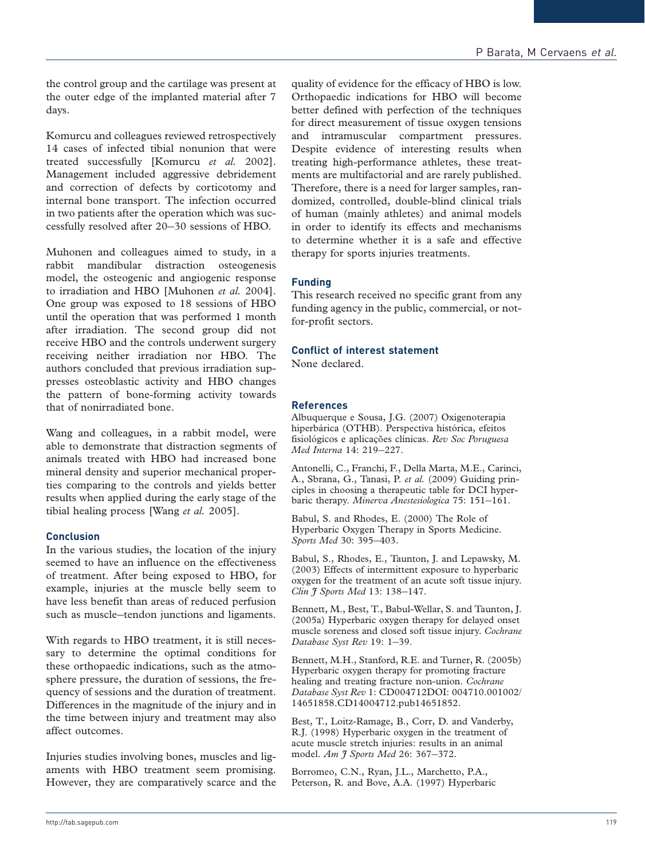the control group and the cartilage was present at the outer edge of the implanted material after 7 days.

Komurcu and colleagues reviewed retrospectively 14 cases of infected tibial nonunion that were treated successfully [Komurcu et al. 2002]. Management included aggressive debridement and correction of defects by corticotomy and internal bone transport. The infection occurred in two patients after the operation which was successfully resolved after 20-30 sessions of HBO.

Muhonen and colleagues aimed to study, in a rabbit mandibular distraction osteogenesis model, the osteogenic and angiogenic response to irradiation and HBO [Muhonen et al. 2004]. One group was exposed to 18 sessions of HBO until the operation that was performed 1 month after irradiation. The second group did not receive HBO and the controls underwent surgery receiving neither irradiation nor HBO. The authors concluded that previous irradiation suppresses osteoblastic activity and HBO changes the pattern of bone-forming activity towards that of nonirradiated bone.

Wang and colleagues, in a rabbit model, were able to demonstrate that distraction segments of animals treated with HBO had increased bone mineral density and superior mechanical properties comparing to the controls and yields better results when applied during the early stage of the tibial healing process [Wang et al. 2005].

#### Conclusion

In the various studies, the location of the injury seemed to have an influence on the effectiveness of treatment. After being exposed to HBO, for example, injuries at the muscle belly seem to have less benefit than areas of reduced perfusion such as muscle-tendon junctions and ligaments.

With regards to HBO treatment, it is still necessary to determine the optimal conditions for these orthopaedic indications, such as the atmosphere pressure, the duration of sessions, the frequency of sessions and the duration of treatment. Differences in the magnitude of the injury and in the time between injury and treatment may also affect outcomes.

Injuries studies involving bones, muscles and ligaments with HBO treatment seem promising. However, they are comparatively scarce and the

quality of evidence for the efficacy of HBO is low. Orthopaedic indications for HBO will become better defined with perfection of the techniques for direct measurement of tissue oxygen tensions and intramuscular compartment pressures. Despite evidence of interesting results when treating high-performance athletes, these treatments are multifactorial and are rarely published. Therefore, there is a need for larger samples, randomized, controlled, double-blind clinical trials of human (mainly athletes) and animal models in order to identify its effects and mechanisms to determine whether it is a safe and effective therapy for sports injuries treatments.

### Funding

This research received no specific grant from any funding agency in the public, commercial, or notfor-profit sectors.

### Conflict of interest statement

None declared.

#### References

Albuquerque e Sousa, J.G. (2007) Oxigenoterapia hiperbárica (OTHB). Perspectiva histórica, efeitos fisiológicos e aplicações clínicas. Rev Soc Poruguesa Med Interna 14: 219-227.

Antonelli, C., Franchi, F., Della Marta, M.E., Carinci, A., Sbrana, G., Tanasi, P. et al. (2009) Guiding principles in choosing a therapeutic table for DCI hyperbaric therapy. Minerva Anestesiologica 75: 151-161.

Babul, S. and Rhodes, E. (2000) The Role of Hyperbaric Oxygen Therapy in Sports Medicine. Sports Med 30: 395-403.

Babul, S., Rhodes, E., Taunton, J. and Lepawsky, M. (2003) Effects of intermittent exposure to hyperbaric oxygen for the treatment of an acute soft tissue injury. Clin J Sports Med 13: 138-147.

Bennett, M., Best, T., Babul-Wellar, S. and Taunton, J. (2005a) Hyperbaric oxygen therapy for delayed onset muscle soreness and closed soft tissue injury. Cochrane Database Syst Rev 19: 1-39.

Bennett, M.H., Stanford, R.E. and Turner, R. (2005b) Hyperbaric oxygen therapy for promoting fracture healing and treating fracture non-union. Cochrane Database Syst Rev 1: CD004712DOI: 004710.001002/ 14651858.CD14004712.pub14651852.

Best, T., Loitz-Ramage, B., Corr, D. and Vanderby, R.J. (1998) Hyperbaric oxygen in the treatment of acute muscle stretch injuries: results in an animal model. Am J Sports Med 26: 367-372.

Borromeo, C.N., Ryan, J.L., Marchetto, P.A., Peterson, R. and Bove, A.A. (1997) Hyperbaric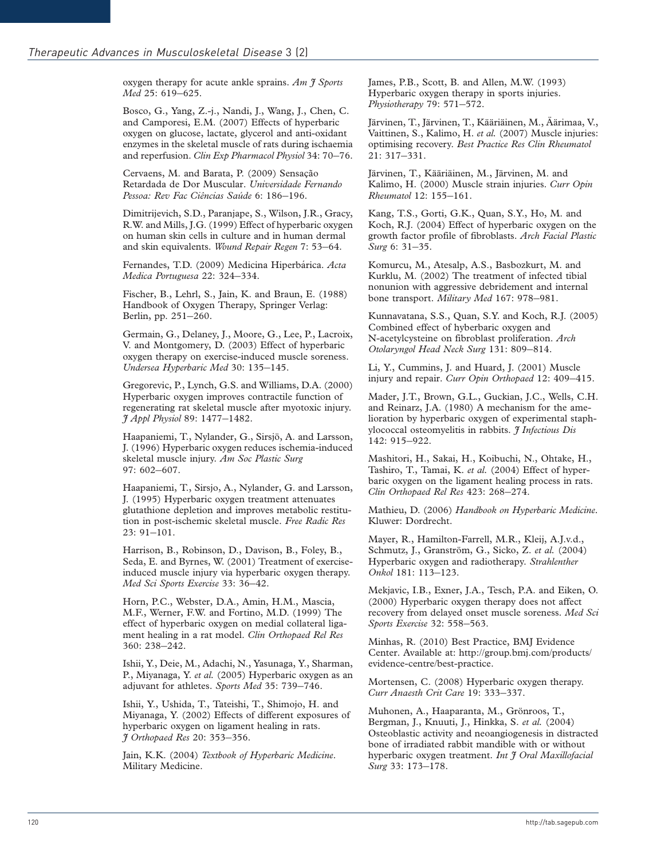oxygen therapy for acute ankle sprains. Am  $\ddot{\tau}$  Sports Med 25: 619-625.

Bosco, G., Yang, Z.-j., Nandi, J., Wang, J., Chen, C. and Camporesi, E.M. (2007) Effects of hyperbaric oxygen on glucose, lactate, glycerol and anti-oxidant enzymes in the skeletal muscle of rats during ischaemia and reperfusion. Clin Exp Pharmacol Physiol 34: 70-76.

Cervaens, M. and Barata, P. (2009) Sensação Retardada de Dor Muscular. Universidade Fernando Pessoa: Rev Fac Ciências Saúde 6: 186–196.

Dimitrijevich, S.D., Paranjape, S., Wilson, J.R., Gracy, R.W. and Mills, J.G. (1999) Effect of hyperbaric oxygen on human skin cells in culture and in human dermal and skin equivalents. Wound Repair Regen 7: 53-64.

Fernandes, T.D. (2009) Medicina Hiperbárica. Acta Medica Portuguesa 22: 324-334.

Fischer, B., Lehrl, S., Jain, K. and Braun, E. (1988) Handbook of Oxygen Therapy, Springer Verlag: Berlin, pp. 251-260.

Germain, G., Delaney, J., Moore, G., Lee, P., Lacroix, V. and Montgomery, D. (2003) Effect of hyperbaric oxygen therapy on exercise-induced muscle soreness. Undersea Hyperbaric Med 30: 135-145.

Gregorevic, P., Lynch, G.S. and Williams, D.A. (2000) Hyperbaric oxygen improves contractile function of regenerating rat skeletal muscle after myotoxic injury. J Appl Physiol 89: 1477-1482.

Haapaniemi, T., Nylander, G., Sirsjö, A. and Larsson, J. (1996) Hyperbaric oxygen reduces ischemia-induced skeletal muscle injury. Am Soc Plastic Surg 97: 602-607.

Haapaniemi, T., Sirsjo, A., Nylander, G. and Larsson, J. (1995) Hyperbaric oxygen treatment attenuates glutathione depletion and improves metabolic restitution in post-ischemic skeletal muscle. Free Radic Res 23: 91-101.

Harrison, B., Robinson, D., Davison, B., Foley, B., Seda, E. and Byrnes, W. (2001) Treatment of exerciseinduced muscle injury via hyperbaric oxygen therapy. Med Sci Sports Exercise 33: 36-42.

Horn, P.C., Webster, D.A., Amin, H.M., Mascia, M.F., Werner, F.W. and Fortino, M.D. (1999) The effect of hyperbaric oxygen on medial collateral ligament healing in a rat model. Clin Orthopaed Rel Res 360: 238-242.

Ishii, Y., Deie, M., Adachi, N., Yasunaga, Y., Sharman, P., Miyanaga, Y. et al. (2005) Hyperbaric oxygen as an adjuvant for athletes. Sports Med 35: 739-746.

Ishii, Y., Ushida, T., Tateishi, T., Shimojo, H. and Miyanaga, Y. (2002) Effects of different exposures of hyperbaric oxygen on ligament healing in rats. J Orthopaed Res 20: 353-356.

Jain, K.K. (2004) Textbook of Hyperbaric Medicine. Military Medicine.

James, P.B., Scott, B. and Allen, M.W. (1993) Hyperbaric oxygen therapy in sports injuries. Physiotherapy 79: 571-572.

Järvinen, T., Järvinen, T., Kääriäinen, M., Äärimaa, V., Vaittinen, S., Kalimo, H. et al. (2007) Muscle injuries: optimising recovery. Best Practice Res Clin Rheumatol 21: 317-331.

Järvinen, T., Kääriäinen, M., Järvinen, M. and Kalimo, H. (2000) Muscle strain injuries. Curr Opin Rheumatol 12: 155-161.

Kang, T.S., Gorti, G.K., Quan, S.Y., Ho, M. and Koch, R.J. (2004) Effect of hyperbaric oxygen on the growth factor profile of fibroblasts. Arch Facial Plastic Surg 6: 31-35.

Komurcu, M., Atesalp, A.S., Basbozkurt, M. and Kurklu, M. (2002) The treatment of infected tibial nonunion with aggressive debridement and internal bone transport. Military Med 167: 978-981.

Kunnavatana, S.S., Quan, S.Y. and Koch, R.J. (2005) Combined effect of hyberbaric oxygen and N-acetylcysteine on fibroblast proliferation. Arch Otolaryngol Head Neck Surg 131: 809-814.

Li, Y., Cummins, J. and Huard, J. (2001) Muscle injury and repair. Curr Opin Orthopaed 12: 409-415.

Mader, J.T., Brown, G.L., Guckian, J.C., Wells, C.H. and Reinarz, J.A. (1980) A mechanism for the amelioration by hyperbaric oxygen of experimental staphylococcal osteomyelitis in rabbits. J Infectious Dis 142: 915-922.

Mashitori, H., Sakai, H., Koibuchi, N., Ohtake, H., Tashiro, T., Tamai, K. et al. (2004) Effect of hyperbaric oxygen on the ligament healing process in rats. Clin Orthopaed Rel Res 423: 268-274.

Mathieu, D. (2006) Handbook on Hyperbaric Medicine. Kluwer: Dordrecht.

Mayer, R., Hamilton-Farrell, M.R., Kleij, A.J.v.d., Schmutz, J., Granström, G., Sicko, Z. et al. (2004) Hyperbaric oxygen and radiotherapy. Strahlenther Onkol 181: 113-123.

Mekjavic, I.B., Exner, J.A., Tesch, P.A. and Eiken, O. (2000) Hyperbaric oxygen therapy does not affect recovery from delayed onset muscle soreness. Med Sci Sports Exercise 32: 558-563.

Minhas, R. (2010) Best Practice, BMJ Evidence Center. Available at: http://group.bmj.com/products/ evidence-centre/best-practice.

Mortensen, C. (2008) Hyperbaric oxygen therapy. Curr Anaesth Crit Care 19: 333-337.

Muhonen, A., Haaparanta, M., Grönroos, T., Bergman, J., Knuuti, J., Hinkka, S. et al. (2004) Osteoblastic activity and neoangiogenesis in distracted bone of irradiated rabbit mandible with or without hyperbaric oxygen treatment. Int J Oral Maxillofacial Surg 33: 173-178.